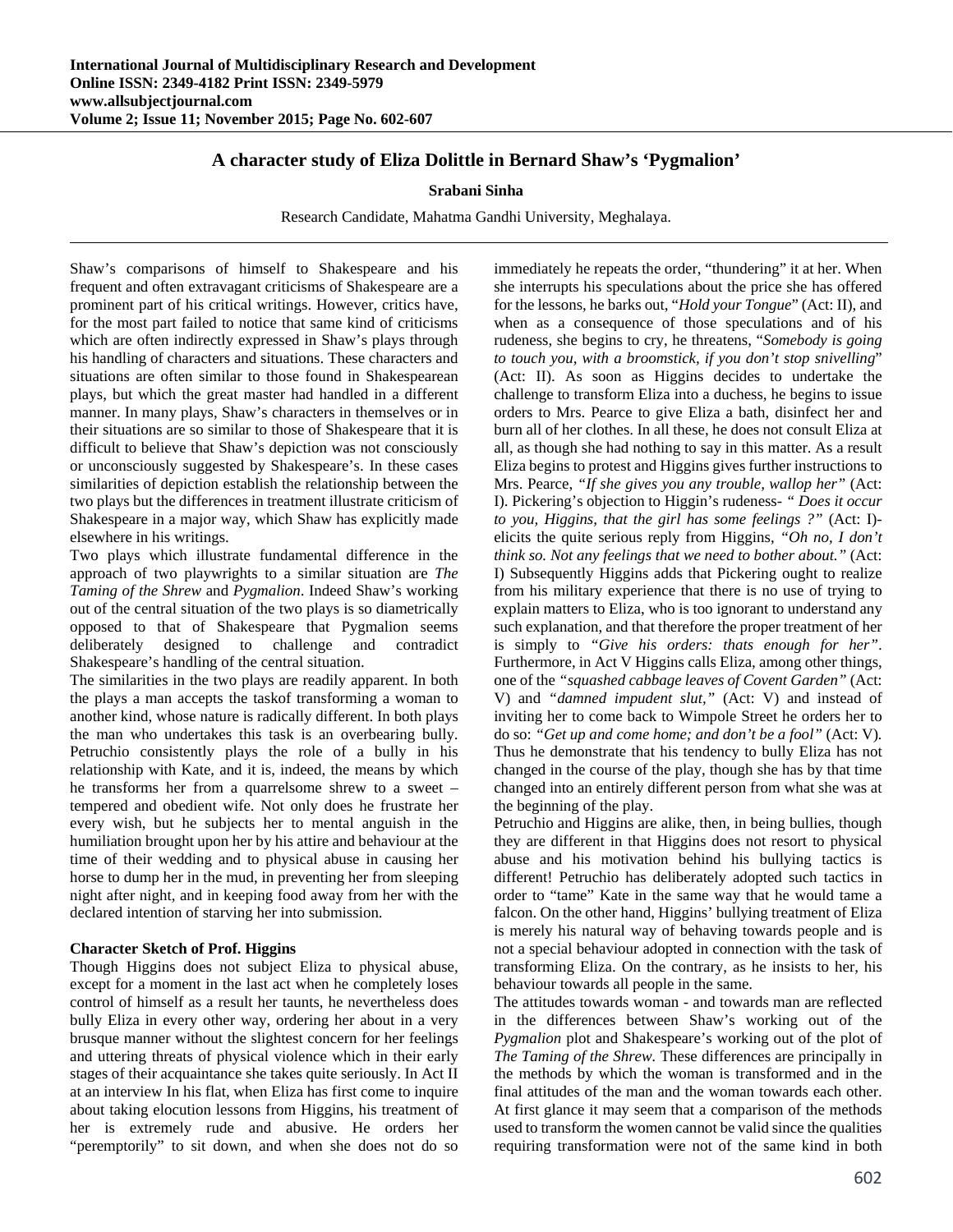# **A character study of Eliza Dolittle in Bernard Shaw's 'Pygmalion'**

## **Srabani Sinha**

Research Candidate, Mahatma Gandhi University, Meghalaya.

Shaw's comparisons of himself to Shakespeare and his frequent and often extravagant criticisms of Shakespeare are a prominent part of his critical writings. However, critics have, for the most part failed to notice that same kind of criticisms which are often indirectly expressed in Shaw's plays through his handling of characters and situations. These characters and situations are often similar to those found in Shakespearean plays, but which the great master had handled in a different manner. In many plays, Shaw's characters in themselves or in their situations are so similar to those of Shakespeare that it is difficult to believe that Shaw's depiction was not consciously or unconsciously suggested by Shakespeare's. In these cases similarities of depiction establish the relationship between the two plays but the differences in treatment illustrate criticism of Shakespeare in a major way, which Shaw has explicitly made elsewhere in his writings.

Two plays which illustrate fundamental difference in the approach of two playwrights to a similar situation are *The Taming of the Shrew* and *Pygmalion*. Indeed Shaw's working out of the central situation of the two plays is so diametrically opposed to that of Shakespeare that Pygmalion seems deliberately designed to challenge and contradict Shakespeare's handling of the central situation.

The similarities in the two plays are readily apparent. In both the plays a man accepts the taskof transforming a woman to another kind, whose nature is radically different. In both plays the man who undertakes this task is an overbearing bully. Petruchio consistently plays the role of a bully in his relationship with Kate, and it is, indeed, the means by which he transforms her from a quarrelsome shrew to a sweet – tempered and obedient wife. Not only does he frustrate her every wish, but he subjects her to mental anguish in the humiliation brought upon her by his attire and behaviour at the time of their wedding and to physical abuse in causing her horse to dump her in the mud, in preventing her from sleeping night after night, and in keeping food away from her with the declared intention of starving her into submission.

## **Character Sketch of Prof. Higgins**

Though Higgins does not subject Eliza to physical abuse, except for a moment in the last act when he completely loses control of himself as a result her taunts, he nevertheless does bully Eliza in every other way, ordering her about in a very brusque manner without the slightest concern for her feelings and uttering threats of physical violence which in their early stages of their acquaintance she takes quite seriously. In Act II at an interview In his flat, when Eliza has first come to inquire about taking elocution lessons from Higgins, his treatment of her is extremely rude and abusive. He orders her "peremptorily" to sit down, and when she does not do so immediately he repeats the order, "thundering" it at her. When she interrupts his speculations about the price she has offered for the lessons, he barks out, "*Hold your Tongue*" (Act: II), and when as a consequence of those speculations and of his rudeness, she begins to cry, he threatens, "*Somebody is going to touch you, with a broomstick, if you don't stop snivelling*" (Act: II). As soon as Higgins decides to undertake the challenge to transform Eliza into a duchess, he begins to issue orders to Mrs. Pearce to give Eliza a bath, disinfect her and burn all of her clothes. In all these, he does not consult Eliza at all, as though she had nothing to say in this matter. As a result Eliza begins to protest and Higgins gives further instructions to Mrs. Pearce, *"If she gives you any trouble, wallop her"* (Act: I). Pickering's objection to Higgin's rudeness- *" Does it occur to you, Higgins, that the girl has some feelings ?"* (Act: I) elicits the quite serious reply from Higgins, *"Oh no, I don't think so. Not any feelings that we need to bother about."* (Act: I) Subsequently Higgins adds that Pickering ought to realize from his military experience that there is no use of trying to explain matters to Eliza, who is too ignorant to understand any such explanation, and that therefore the proper treatment of her is simply to *"Give his orders: thats enough for her"*. Furthermore, in Act V Higgins calls Eliza, among other things, one of the *"squashed cabbage leaves of Covent Garden"* (Act: V) and *"damned impudent slut,"* (Act: V) and instead of inviting her to come back to Wimpole Street he orders her to do so: *"Get up and come home; and don't be a fool"* (Act: V)*.* Thus he demonstrate that his tendency to bully Eliza has not changed in the course of the play, though she has by that time changed into an entirely different person from what she was at the beginning of the play.

Petruchio and Higgins are alike, then, in being bullies, though they are different in that Higgins does not resort to physical abuse and his motivation behind his bullying tactics is different! Petruchio has deliberately adopted such tactics in order to "tame" Kate in the same way that he would tame a falcon. On the other hand, Higgins' bullying treatment of Eliza is merely his natural way of behaving towards people and is not a special behaviour adopted in connection with the task of transforming Eliza. On the contrary, as he insists to her, his behaviour towards all people in the same.

The attitudes towards woman - and towards man are reflected in the differences between Shaw's working out of the *Pygmalion* plot and Shakespeare's working out of the plot of *The Taming of the Shrew.* These differences are principally in the methods by which the woman is transformed and in the final attitudes of the man and the woman towards each other. At first glance it may seem that a comparison of the methods used to transform the women cannot be valid since the qualities requiring transformation were not of the same kind in both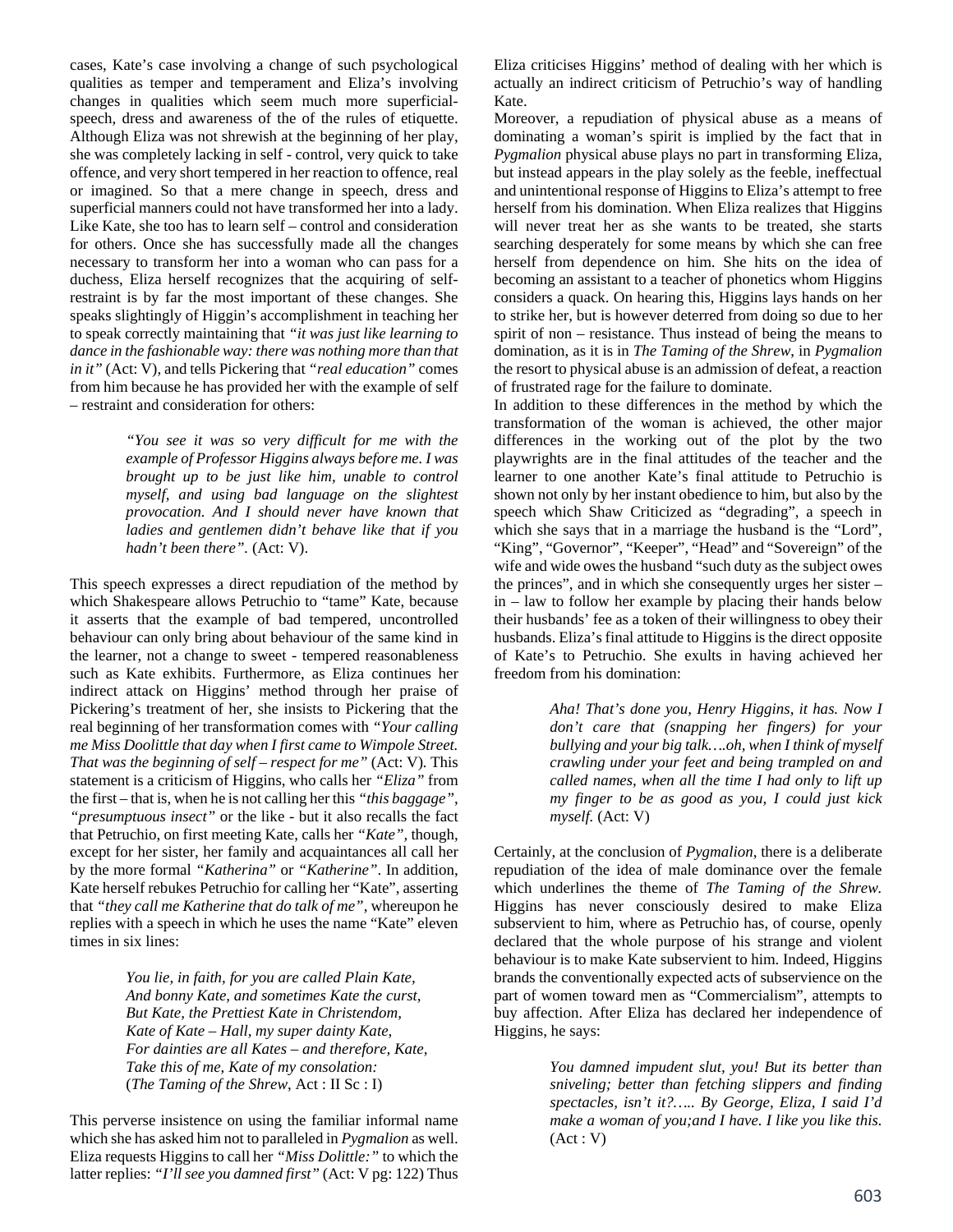cases, Kate's case involving a change of such psychological qualities as temper and temperament and Eliza's involving changes in qualities which seem much more superficialspeech, dress and awareness of the of the rules of etiquette. Although Eliza was not shrewish at the beginning of her play, she was completely lacking in self - control, very quick to take offence, and very short tempered in her reaction to offence, real or imagined. So that a mere change in speech, dress and superficial manners could not have transformed her into a lady. Like Kate, she too has to learn self – control and consideration for others. Once she has successfully made all the changes necessary to transform her into a woman who can pass for a duchess, Eliza herself recognizes that the acquiring of selfrestraint is by far the most important of these changes. She speaks slightingly of Higgin's accomplishment in teaching her to speak correctly maintaining that *"it was just like learning to dance in the fashionable way: there was nothing more than that in it"* (Act: V)*,* and tells Pickering that *"real education"* comes from him because he has provided her with the example of self – restraint and consideration for others:

> *"You see it was so very difficult for me with the example of Professor Higgins always before me. I was brought up to be just like him, unable to control myself, and using bad language on the slightest provocation. And I should never have known that ladies and gentlemen didn't behave like that if you hadn't been there".* (Act: V).

This speech expresses a direct repudiation of the method by which Shakespeare allows Petruchio to "tame" Kate, because it asserts that the example of bad tempered, uncontrolled behaviour can only bring about behaviour of the same kind in the learner, not a change to sweet - tempered reasonableness such as Kate exhibits. Furthermore, as Eliza continues her indirect attack on Higgins' method through her praise of Pickering's treatment of her, she insists to Pickering that the real beginning of her transformation comes with *"Your calling me Miss Doolittle that day when I first came to Wimpole Street. That was the beginning of self – respect for me"* (Act: V)*.* This statement is a criticism of Higgins, who calls her *"Eliza"* from the first – that is, when he is not calling her this *"this baggage"*, *"presumptuous insect"* or the like - but it also recalls the fact that Petruchio, on first meeting Kate, calls her *"Kate",* though, except for her sister, her family and acquaintances all call her by the more formal *"Katherina"* or *"Katherine"*. In addition, Kate herself rebukes Petruchio for calling her "Kate", asserting that *"they call me Katherine that do talk of me"*, whereupon he replies with a speech in which he uses the name "Kate" eleven times in six lines:

> *You lie, in faith, for you are called Plain Kate, And bonny Kate, and sometimes Kate the curst, But Kate, the Prettiest Kate in Christendom, Kate of Kate – Hall, my super dainty Kate, For dainties are all Kates – and therefore, Kate, Take this of me, Kate of my consolation:*  (*The Taming of the Shrew*, Act : II Sc : I)

This perverse insistence on using the familiar informal name which she has asked him not to paralleled in *Pygmalion* as well. Eliza requests Higgins to call her *"Miss Dolittle:"* to which the latter replies: *"I'll see you damned first"* (Act: V pg: 122) Thus

Eliza criticises Higgins' method of dealing with her which is actually an indirect criticism of Petruchio's way of handling Kate.

Moreover, a repudiation of physical abuse as a means of dominating a woman's spirit is implied by the fact that in *Pygmalion* physical abuse plays no part in transforming Eliza, but instead appears in the play solely as the feeble, ineffectual and unintentional response of Higgins to Eliza's attempt to free herself from his domination. When Eliza realizes that Higgins will never treat her as she wants to be treated, she starts searching desperately for some means by which she can free herself from dependence on him. She hits on the idea of becoming an assistant to a teacher of phonetics whom Higgins considers a quack. On hearing this, Higgins lays hands on her to strike her, but is however deterred from doing so due to her spirit of non – resistance. Thus instead of being the means to domination, as it is in *The Taming of the Shrew*, in *Pygmalion* the resort to physical abuse is an admission of defeat, a reaction of frustrated rage for the failure to dominate.

In addition to these differences in the method by which the transformation of the woman is achieved, the other major differences in the working out of the plot by the two playwrights are in the final attitudes of the teacher and the learner to one another Kate's final attitude to Petruchio is shown not only by her instant obedience to him, but also by the speech which Shaw Criticized as "degrading", a speech in which she says that in a marriage the husband is the "Lord", "King", "Governor", "Keeper", "Head" and "Sovereign" of the wife and wide owes the husband "such duty as the subject owes the princes", and in which she consequently urges her sister – in – law to follow her example by placing their hands below their husbands' fee as a token of their willingness to obey their husbands. Eliza's final attitude to Higgins is the direct opposite of Kate's to Petruchio. She exults in having achieved her freedom from his domination:

> *Aha! That's done you, Henry Higgins, it has. Now I don't care that (snapping her fingers) for your bullying and your big talk….oh, when I think of myself crawling under your feet and being trampled on and called names, when all the time I had only to lift up my finger to be as good as you, I could just kick myself.* (Act: V)

Certainly, at the conclusion of *Pygmalion*, there is a deliberate repudiation of the idea of male dominance over the female which underlines the theme of *The Taming of the Shrew.* Higgins has never consciously desired to make Eliza subservient to him, where as Petruchio has, of course, openly declared that the whole purpose of his strange and violent behaviour is to make Kate subservient to him. Indeed, Higgins brands the conventionally expected acts of subservience on the part of women toward men as "Commercialism", attempts to buy affection. After Eliza has declared her independence of Higgins, he says:

> *You damned impudent slut, you! But its better than sniveling; better than fetching slippers and finding spectacles, isn't it?….. By George, Eliza, I said I'd make a woman of you;and I have. I like you like this.*   $(Act: V)$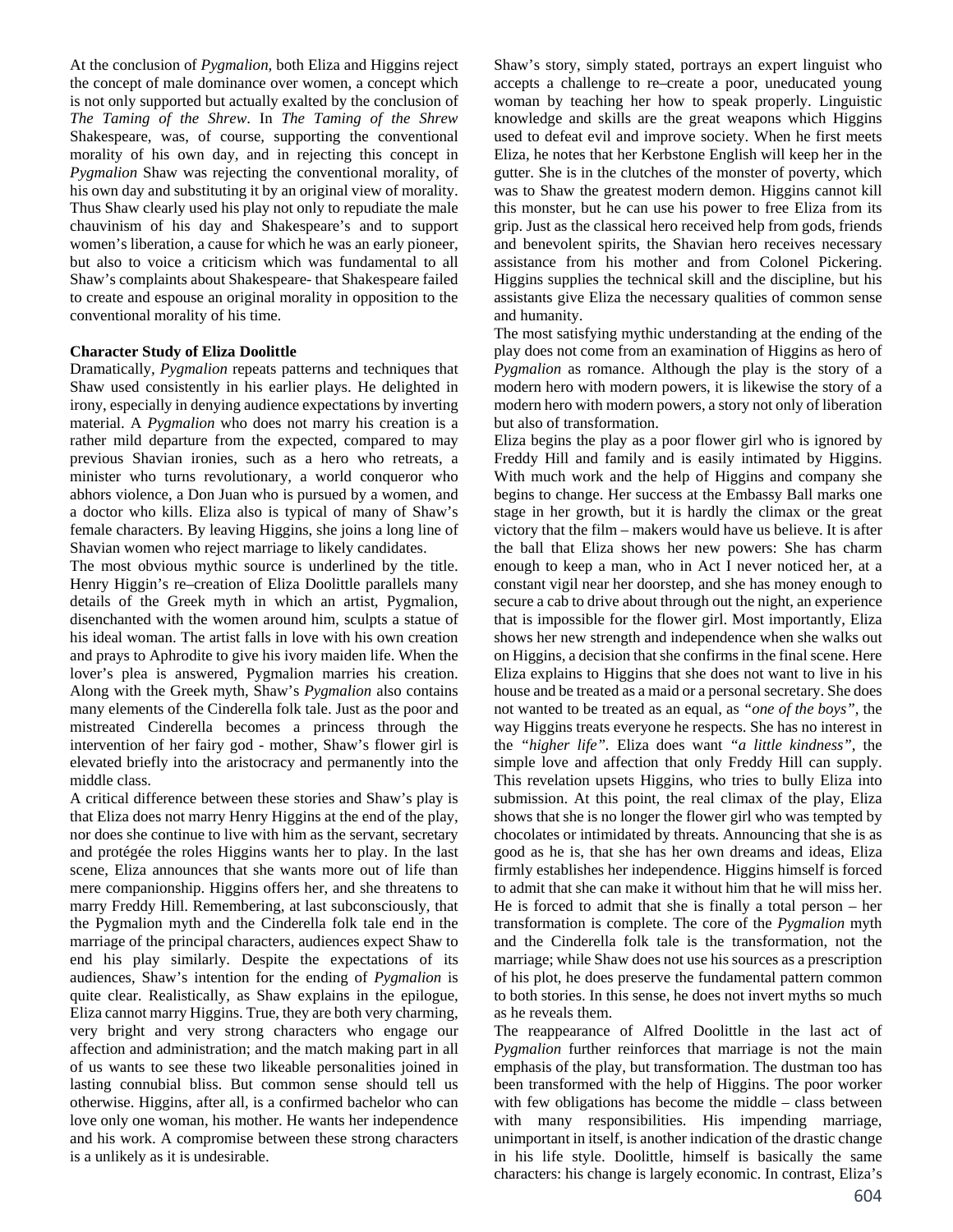At the conclusion of *Pygmalion,* both Eliza and Higgins reject the concept of male dominance over women, a concept which is not only supported but actually exalted by the conclusion of *The Taming of the Shrew*. In *The Taming of the Shrew* Shakespeare, was, of course, supporting the conventional morality of his own day, and in rejecting this concept in *Pygmalion* Shaw was rejecting the conventional morality, of his own day and substituting it by an original view of morality. Thus Shaw clearly used his play not only to repudiate the male chauvinism of his day and Shakespeare's and to support women's liberation, a cause for which he was an early pioneer, but also to voice a criticism which was fundamental to all Shaw's complaints about Shakespeare- that Shakespeare failed to create and espouse an original morality in opposition to the conventional morality of his time.

#### **Character Study of Eliza Doolittle**

Dramatically, *Pygmalion* repeats patterns and techniques that Shaw used consistently in his earlier plays. He delighted in irony, especially in denying audience expectations by inverting material. A *Pygmalion* who does not marry his creation is a rather mild departure from the expected, compared to may previous Shavian ironies, such as a hero who retreats, a minister who turns revolutionary, a world conqueror who abhors violence, a Don Juan who is pursued by a women, and a doctor who kills. Eliza also is typical of many of Shaw's female characters. By leaving Higgins, she joins a long line of Shavian women who reject marriage to likely candidates.

The most obvious mythic source is underlined by the title. Henry Higgin's re–creation of Eliza Doolittle parallels many details of the Greek myth in which an artist, Pygmalion, disenchanted with the women around him, sculpts a statue of his ideal woman. The artist falls in love with his own creation and prays to Aphrodite to give his ivory maiden life. When the lover's plea is answered, Pygmalion marries his creation. Along with the Greek myth, Shaw's *Pygmalion* also contains many elements of the Cinderella folk tale. Just as the poor and mistreated Cinderella becomes a princess through the intervention of her fairy god - mother, Shaw's flower girl is elevated briefly into the aristocracy and permanently into the middle class.

A critical difference between these stories and Shaw's play is that Eliza does not marry Henry Higgins at the end of the play, nor does she continue to live with him as the servant, secretary and protégée the roles Higgins wants her to play. In the last scene, Eliza announces that she wants more out of life than mere companionship. Higgins offers her, and she threatens to marry Freddy Hill. Remembering, at last subconsciously, that the Pygmalion myth and the Cinderella folk tale end in the marriage of the principal characters, audiences expect Shaw to end his play similarly. Despite the expectations of its audiences, Shaw's intention for the ending of *Pygmalion* is quite clear. Realistically, as Shaw explains in the epilogue, Eliza cannot marry Higgins. True, they are both very charming, very bright and very strong characters who engage our affection and administration; and the match making part in all of us wants to see these two likeable personalities joined in lasting connubial bliss. But common sense should tell us otherwise. Higgins, after all, is a confirmed bachelor who can love only one woman, his mother. He wants her independence and his work. A compromise between these strong characters is a unlikely as it is undesirable.

Shaw's story, simply stated, portrays an expert linguist who accepts a challenge to re–create a poor, uneducated young woman by teaching her how to speak properly. Linguistic knowledge and skills are the great weapons which Higgins used to defeat evil and improve society. When he first meets Eliza, he notes that her Kerbstone English will keep her in the gutter. She is in the clutches of the monster of poverty, which was to Shaw the greatest modern demon. Higgins cannot kill this monster, but he can use his power to free Eliza from its grip. Just as the classical hero received help from gods, friends and benevolent spirits, the Shavian hero receives necessary assistance from his mother and from Colonel Pickering. Higgins supplies the technical skill and the discipline, but his assistants give Eliza the necessary qualities of common sense and humanity.

The most satisfying mythic understanding at the ending of the play does not come from an examination of Higgins as hero of *Pygmalion* as romance. Although the play is the story of a modern hero with modern powers, it is likewise the story of a modern hero with modern powers, a story not only of liberation but also of transformation.

Eliza begins the play as a poor flower girl who is ignored by Freddy Hill and family and is easily intimated by Higgins. With much work and the help of Higgins and company she begins to change. Her success at the Embassy Ball marks one stage in her growth, but it is hardly the climax or the great victory that the film – makers would have us believe. It is after the ball that Eliza shows her new powers: She has charm enough to keep a man, who in Act I never noticed her, at a constant vigil near her doorstep, and she has money enough to secure a cab to drive about through out the night, an experience that is impossible for the flower girl. Most importantly, Eliza shows her new strength and independence when she walks out on Higgins, a decision that she confirms in the final scene. Here Eliza explains to Higgins that she does not want to live in his house and be treated as a maid or a personal secretary. She does not wanted to be treated as an equal, as *"one of the boys",* the way Higgins treats everyone he respects. She has no interest in the *"higher life".* Eliza does want *"a little kindness",* the simple love and affection that only Freddy Hill can supply. This revelation upsets Higgins, who tries to bully Eliza into submission. At this point, the real climax of the play, Eliza shows that she is no longer the flower girl who was tempted by chocolates or intimidated by threats. Announcing that she is as good as he is, that she has her own dreams and ideas, Eliza firmly establishes her independence. Higgins himself is forced to admit that she can make it without him that he will miss her. He is forced to admit that she is finally a total person – her transformation is complete. The core of the *Pygmalion* myth and the Cinderella folk tale is the transformation, not the marriage; while Shaw does not use his sources as a prescription of his plot, he does preserve the fundamental pattern common to both stories. In this sense, he does not invert myths so much as he reveals them.

The reappearance of Alfred Doolittle in the last act of *Pygmalion* further reinforces that marriage is not the main emphasis of the play, but transformation. The dustman too has been transformed with the help of Higgins. The poor worker with few obligations has become the middle – class between with many responsibilities. His impending marriage, unimportant in itself, is another indication of the drastic change in his life style. Doolittle, himself is basically the same characters: his change is largely economic. In contrast, Eliza's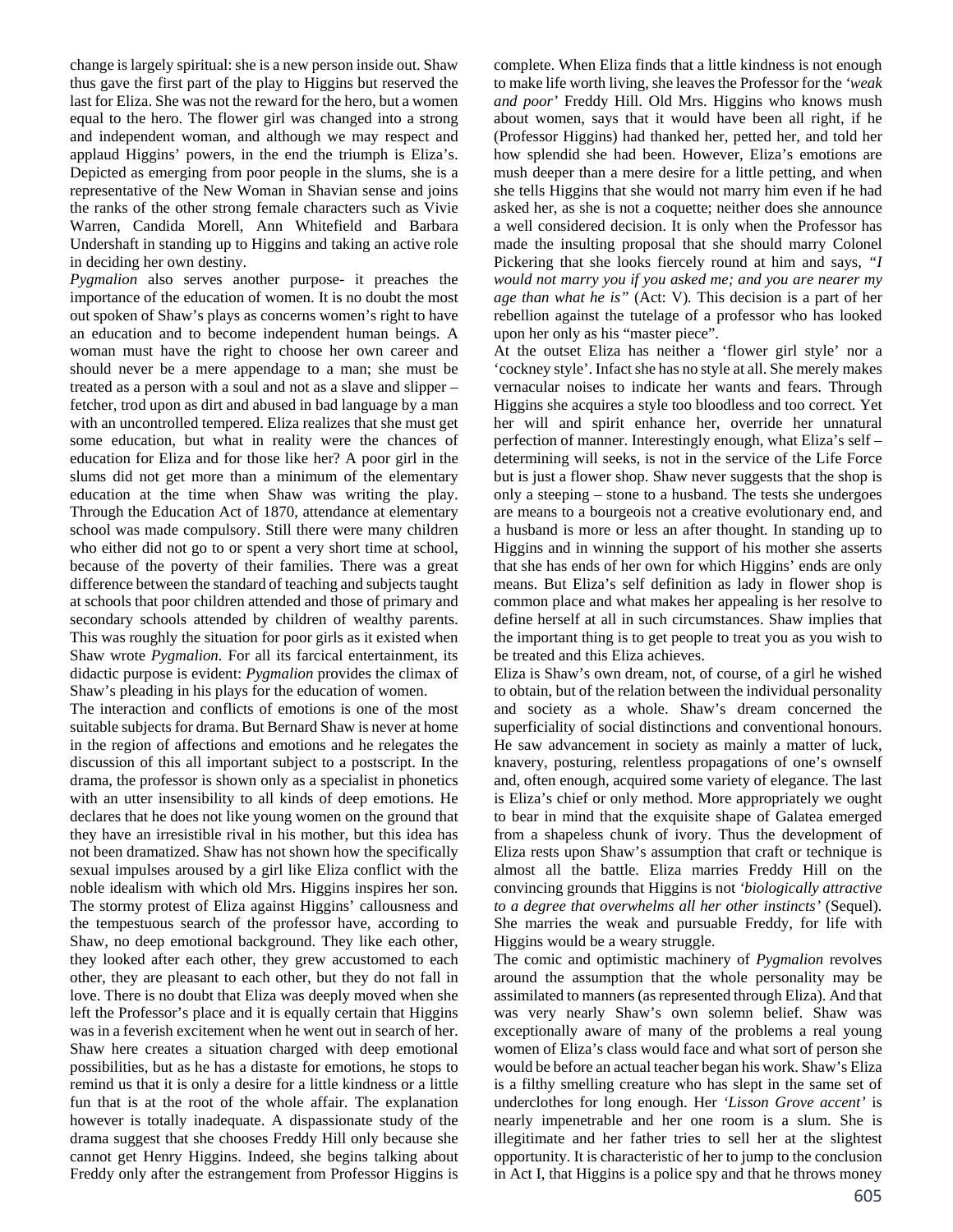change is largely spiritual: she is a new person inside out. Shaw thus gave the first part of the play to Higgins but reserved the last for Eliza. She was not the reward for the hero, but a women equal to the hero. The flower girl was changed into a strong and independent woman, and although we may respect and applaud Higgins' powers, in the end the triumph is Eliza's. Depicted as emerging from poor people in the slums, she is a representative of the New Woman in Shavian sense and joins the ranks of the other strong female characters such as Vivie Warren, Candida Morell, Ann Whitefield and Barbara Undershaft in standing up to Higgins and taking an active role in deciding her own destiny.

*Pygmalion* also serves another purpose- it preaches the importance of the education of women. It is no doubt the most out spoken of Shaw's plays as concerns women's right to have an education and to become independent human beings. A woman must have the right to choose her own career and should never be a mere appendage to a man; she must be treated as a person with a soul and not as a slave and slipper – fetcher, trod upon as dirt and abused in bad language by a man with an uncontrolled tempered. Eliza realizes that she must get some education, but what in reality were the chances of education for Eliza and for those like her? A poor girl in the slums did not get more than a minimum of the elementary education at the time when Shaw was writing the play. Through the Education Act of 1870, attendance at elementary school was made compulsory. Still there were many children who either did not go to or spent a very short time at school, because of the poverty of their families. There was a great difference between the standard of teaching and subjects taught at schools that poor children attended and those of primary and secondary schools attended by children of wealthy parents. This was roughly the situation for poor girls as it existed when Shaw wrote *Pygmalion.* For all its farcical entertainment, its didactic purpose is evident: *Pygmalion* provides the climax of Shaw's pleading in his plays for the education of women.

The interaction and conflicts of emotions is one of the most suitable subjects for drama. But Bernard Shaw is never at home in the region of affections and emotions and he relegates the discussion of this all important subject to a postscript. In the drama, the professor is shown only as a specialist in phonetics with an utter insensibility to all kinds of deep emotions. He declares that he does not like young women on the ground that they have an irresistible rival in his mother, but this idea has not been dramatized. Shaw has not shown how the specifically sexual impulses aroused by a girl like Eliza conflict with the noble idealism with which old Mrs. Higgins inspires her son. The stormy protest of Eliza against Higgins' callousness and the tempestuous search of the professor have, according to Shaw, no deep emotional background. They like each other, they looked after each other, they grew accustomed to each other, they are pleasant to each other, but they do not fall in love. There is no doubt that Eliza was deeply moved when she left the Professor's place and it is equally certain that Higgins was in a feverish excitement when he went out in search of her. Shaw here creates a situation charged with deep emotional possibilities, but as he has a distaste for emotions, he stops to remind us that it is only a desire for a little kindness or a little fun that is at the root of the whole affair. The explanation however is totally inadequate. A dispassionate study of the drama suggest that she chooses Freddy Hill only because she cannot get Henry Higgins. Indeed, she begins talking about Freddy only after the estrangement from Professor Higgins is

complete. When Eliza finds that a little kindness is not enough to make life worth living, she leaves the Professor for the *'weak and poor'* Freddy Hill. Old Mrs. Higgins who knows mush about women, says that it would have been all right, if he (Professor Higgins) had thanked her, petted her, and told her how splendid she had been. However, Eliza's emotions are mush deeper than a mere desire for a little petting, and when she tells Higgins that she would not marry him even if he had asked her, as she is not a coquette; neither does she announce a well considered decision. It is only when the Professor has made the insulting proposal that she should marry Colonel Pickering that she looks fiercely round at him and says, *"I would not marry you if you asked me; and you are nearer my age than what he is"* (Act: V)*.* This decision is a part of her rebellion against the tutelage of a professor who has looked upon her only as his "master piece".

At the outset Eliza has neither a 'flower girl style' nor a 'cockney style'. Infact she has no style at all. She merely makes vernacular noises to indicate her wants and fears. Through Higgins she acquires a style too bloodless and too correct. Yet her will and spirit enhance her, override her unnatural perfection of manner. Interestingly enough, what Eliza's self – determining will seeks, is not in the service of the Life Force but is just a flower shop. Shaw never suggests that the shop is only a steeping – stone to a husband. The tests she undergoes are means to a bourgeois not a creative evolutionary end, and a husband is more or less an after thought. In standing up to Higgins and in winning the support of his mother she asserts that she has ends of her own for which Higgins' ends are only means. But Eliza's self definition as lady in flower shop is common place and what makes her appealing is her resolve to define herself at all in such circumstances. Shaw implies that the important thing is to get people to treat you as you wish to be treated and this Eliza achieves.

Eliza is Shaw's own dream, not, of course, of a girl he wished to obtain, but of the relation between the individual personality and society as a whole. Shaw's dream concerned the superficiality of social distinctions and conventional honours. He saw advancement in society as mainly a matter of luck, knavery, posturing, relentless propagations of one's ownself and, often enough, acquired some variety of elegance. The last is Eliza's chief or only method. More appropriately we ought to bear in mind that the exquisite shape of Galatea emerged from a shapeless chunk of ivory. Thus the development of Eliza rests upon Shaw's assumption that craft or technique is almost all the battle. Eliza marries Freddy Hill on the convincing grounds that Higgins is not *'biologically attractive to a degree that overwhelms all her other instincts'* (Sequel)*.* She marries the weak and pursuable Freddy, for life with Higgins would be a weary struggle.

The comic and optimistic machinery of *Pygmalion* revolves around the assumption that the whole personality may be assimilated to manners (as represented through Eliza). And that was very nearly Shaw's own solemn belief. Shaw was exceptionally aware of many of the problems a real young women of Eliza's class would face and what sort of person she would be before an actual teacher began his work. Shaw's Eliza is a filthy smelling creature who has slept in the same set of underclothes for long enough. Her *'Lisson Grove accent'* is nearly impenetrable and her one room is a slum. She is illegitimate and her father tries to sell her at the slightest opportunity. It is characteristic of her to jump to the conclusion in Act I, that Higgins is a police spy and that he throws money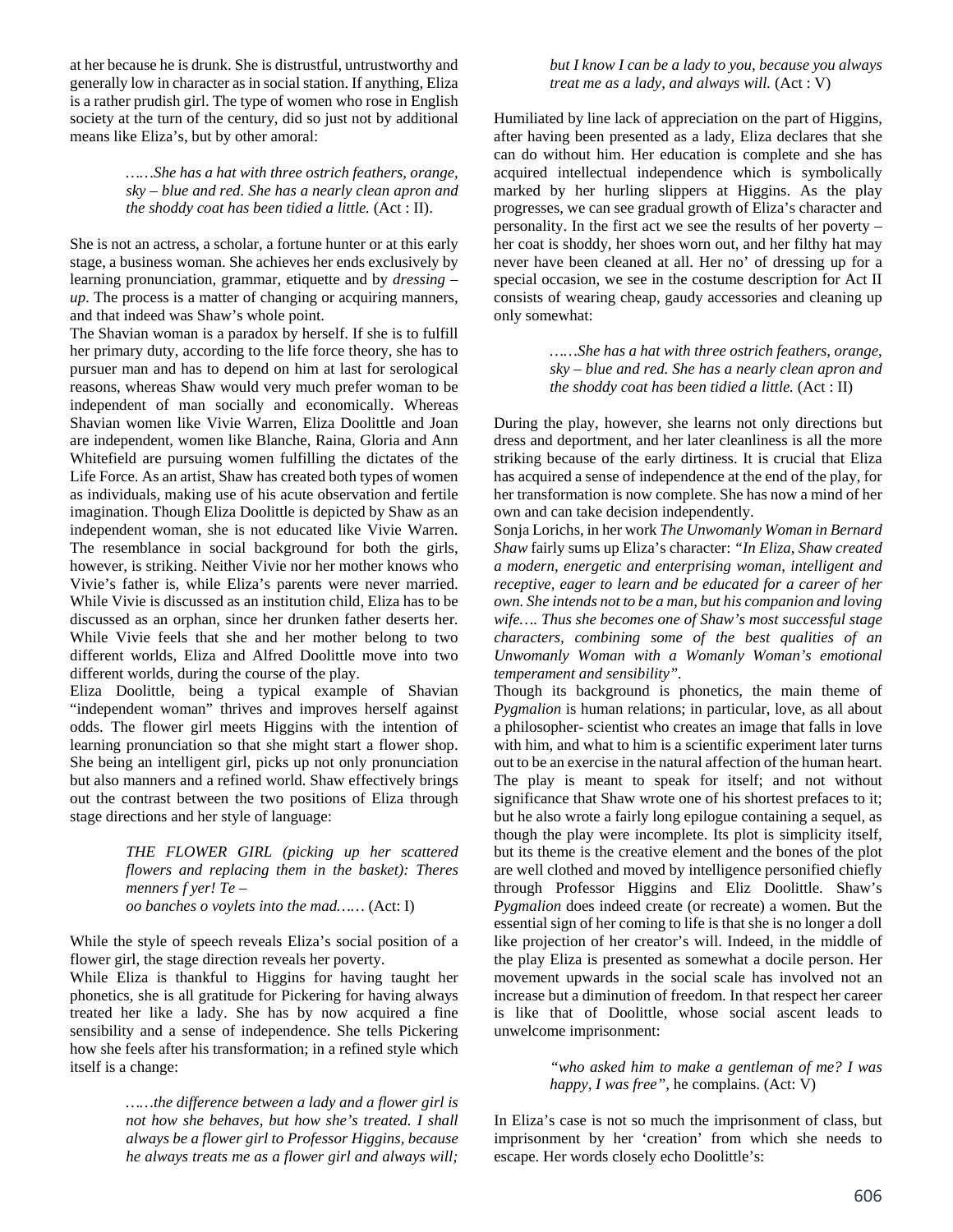at her because he is drunk. She is distrustful, untrustworthy and generally low in character as in social station. If anything, Eliza is a rather prudish girl. The type of women who rose in English society at the turn of the century, did so just not by additional means like Eliza's, but by other amoral:

> *……She has a hat with three ostrich feathers, orange, sky – blue and red. She has a nearly clean apron and the shoddy coat has been tidied a little.* (Act : II).

She is not an actress, a scholar, a fortune hunter or at this early stage, a business woman. She achieves her ends exclusively by learning pronunciation, grammar, etiquette and by *dressing – up*. The process is a matter of changing or acquiring manners, and that indeed was Shaw's whole point.

The Shavian woman is a paradox by herself. If she is to fulfill her primary duty, according to the life force theory, she has to pursuer man and has to depend on him at last for serological reasons, whereas Shaw would very much prefer woman to be independent of man socially and economically. Whereas Shavian women like Vivie Warren, Eliza Doolittle and Joan are independent, women like Blanche, Raina, Gloria and Ann Whitefield are pursuing women fulfilling the dictates of the Life Force. As an artist, Shaw has created both types of women as individuals, making use of his acute observation and fertile imagination. Though Eliza Doolittle is depicted by Shaw as an independent woman, she is not educated like Vivie Warren. The resemblance in social background for both the girls, however, is striking. Neither Vivie nor her mother knows who Vivie's father is, while Eliza's parents were never married. While Vivie is discussed as an institution child, Eliza has to be discussed as an orphan, since her drunken father deserts her. While Vivie feels that she and her mother belong to two different worlds, Eliza and Alfred Doolittle move into two different worlds, during the course of the play.

Eliza Doolittle, being a typical example of Shavian "independent woman" thrives and improves herself against odds. The flower girl meets Higgins with the intention of learning pronunciation so that she might start a flower shop. She being an intelligent girl, picks up not only pronunciation but also manners and a refined world. Shaw effectively brings out the contrast between the two positions of Eliza through stage directions and her style of language:

> *THE FLOWER GIRL (picking up her scattered flowers and replacing them in the basket): Theres menners f yer! Te – oo banches o voylets into the mad……* (Act: I)

While the style of speech reveals Eliza's social position of a flower girl, the stage direction reveals her poverty.

While Eliza is thankful to Higgins for having taught her phonetics, she is all gratitude for Pickering for having always treated her like a lady. She has by now acquired a fine sensibility and a sense of independence. She tells Pickering how she feels after his transformation; in a refined style which itself is a change:

> *……the difference between a lady and a flower girl is not how she behaves, but how she's treated. I shall always be a flower girl to Professor Higgins, because he always treats me as a flower girl and always will;*

*but I know I can be a lady to you, because you always treat me as a lady, and always will.* (Act : V)

Humiliated by line lack of appreciation on the part of Higgins, after having been presented as a lady, Eliza declares that she can do without him. Her education is complete and she has acquired intellectual independence which is symbolically marked by her hurling slippers at Higgins. As the play progresses, we can see gradual growth of Eliza's character and personality. In the first act we see the results of her poverty – her coat is shoddy, her shoes worn out, and her filthy hat may never have been cleaned at all. Her no' of dressing up for a special occasion, we see in the costume description for Act II consists of wearing cheap, gaudy accessories and cleaning up only somewhat:

> *……She has a hat with three ostrich feathers, orange, sky – blue and red. She has a nearly clean apron and the shoddy coat has been tidied a little.* (Act : II)

During the play, however, she learns not only directions but dress and deportment, and her later cleanliness is all the more striking because of the early dirtiness. It is crucial that Eliza has acquired a sense of independence at the end of the play, for her transformation is now complete. She has now a mind of her own and can take decision independently.

Sonja Lorichs, in her work *The Unwomanly Woman in Bernard Shaw* fairly sums up Eliza's character: *"In Eliza, Shaw created a modern, energetic and enterprising woman, intelligent and receptive, eager to learn and be educated for a career of her own. She intends not to be a man, but his companion and loving wife…. Thus she becomes one of Shaw's most successful stage characters, combining some of the best qualities of an Unwomanly Woman with a Womanly Woman's emotional temperament and sensibility".* 

Though its background is phonetics, the main theme of *Pygmalion* is human relations; in particular, love, as all about a philosopher- scientist who creates an image that falls in love with him, and what to him is a scientific experiment later turns out to be an exercise in the natural affection of the human heart. The play is meant to speak for itself; and not without significance that Shaw wrote one of his shortest prefaces to it; but he also wrote a fairly long epilogue containing a sequel, as though the play were incomplete. Its plot is simplicity itself, but its theme is the creative element and the bones of the plot are well clothed and moved by intelligence personified chiefly through Professor Higgins and Eliz Doolittle. Shaw's *Pygmalion* does indeed create (or recreate) a women. But the essential sign of her coming to life is that she is no longer a doll like projection of her creator's will. Indeed, in the middle of the play Eliza is presented as somewhat a docile person. Her movement upwards in the social scale has involved not an increase but a diminution of freedom. In that respect her career is like that of Doolittle, whose social ascent leads to unwelcome imprisonment:

> *"who asked him to make a gentleman of me? I was happy, I was free",* he complains. (Act: V)

In Eliza's case is not so much the imprisonment of class, but imprisonment by her 'creation' from which she needs to escape. Her words closely echo Doolittle's: